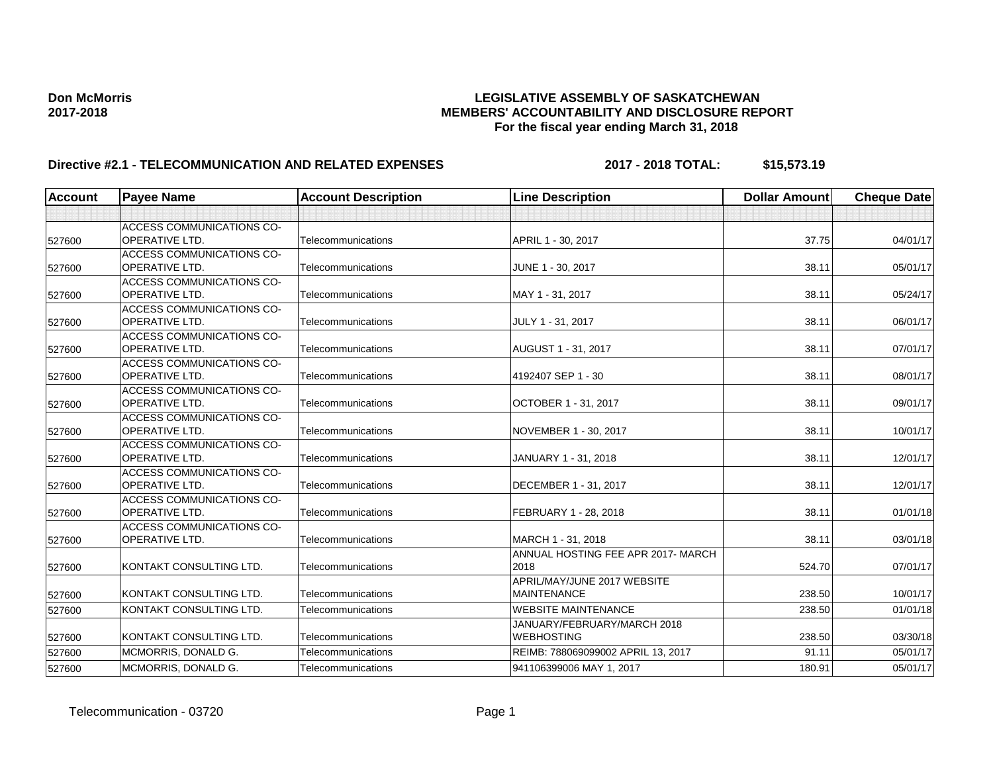| <b>ACCESS COMMUNICATIONS CO-</b><br><b>OPERATIVE LTD.</b><br>37.75<br>Telecommunications<br>APRIL 1 - 30, 2017<br>527600<br>ACCESS COMMUNICATIONS CO-<br><b>OPERATIVE LTD.</b><br>38.11<br>Telecommunications<br>JUNE 1 - 30, 2017<br>527600<br><b>ACCESS COMMUNICATIONS CO-</b><br><b>OPERATIVE LTD.</b><br>Telecommunications<br>38.11<br>527600<br>MAY 1 - 31, 2017<br>ACCESS COMMUNICATIONS CO-<br><b>OPERATIVE LTD.</b><br>Telecommunications<br>JULY 1 - 31, 2017<br>38.11<br>527600 | <b>Cheque Date</b> |
|--------------------------------------------------------------------------------------------------------------------------------------------------------------------------------------------------------------------------------------------------------------------------------------------------------------------------------------------------------------------------------------------------------------------------------------------------------------------------------------------|--------------------|
|                                                                                                                                                                                                                                                                                                                                                                                                                                                                                            |                    |
|                                                                                                                                                                                                                                                                                                                                                                                                                                                                                            |                    |
|                                                                                                                                                                                                                                                                                                                                                                                                                                                                                            | 04/01/17           |
|                                                                                                                                                                                                                                                                                                                                                                                                                                                                                            |                    |
|                                                                                                                                                                                                                                                                                                                                                                                                                                                                                            | 05/01/17           |
|                                                                                                                                                                                                                                                                                                                                                                                                                                                                                            |                    |
|                                                                                                                                                                                                                                                                                                                                                                                                                                                                                            | 05/24/17           |
|                                                                                                                                                                                                                                                                                                                                                                                                                                                                                            |                    |
|                                                                                                                                                                                                                                                                                                                                                                                                                                                                                            | 06/01/17           |
| <b>ACCESS COMMUNICATIONS CO-</b>                                                                                                                                                                                                                                                                                                                                                                                                                                                           |                    |
| <b>OPERATIVE LTD.</b><br>Telecommunications<br>AUGUST 1 - 31, 2017<br>38.11<br>527600                                                                                                                                                                                                                                                                                                                                                                                                      | 07/01/17           |
| <b>ACCESS COMMUNICATIONS CO-</b>                                                                                                                                                                                                                                                                                                                                                                                                                                                           |                    |
| <b>OPERATIVE LTD.</b><br>4192407 SEP 1 - 30<br>38.11<br>Telecommunications<br>527600                                                                                                                                                                                                                                                                                                                                                                                                       | 08/01/17           |
| <b>ACCESS COMMUNICATIONS CO-</b>                                                                                                                                                                                                                                                                                                                                                                                                                                                           |                    |
| <b>OPERATIVE LTD.</b><br>OCTOBER 1 - 31, 2017<br>38.11<br>Telecommunications<br>527600                                                                                                                                                                                                                                                                                                                                                                                                     | 09/01/17           |
| <b>ACCESS COMMUNICATIONS CO-</b>                                                                                                                                                                                                                                                                                                                                                                                                                                                           |                    |
| <b>OPERATIVE LTD.</b><br>Telecommunications<br>NOVEMBER 1 - 30, 2017<br>38.11<br>527600                                                                                                                                                                                                                                                                                                                                                                                                    | 10/01/17           |
| <b>ACCESS COMMUNICATIONS CO-</b>                                                                                                                                                                                                                                                                                                                                                                                                                                                           |                    |
| <b>OPERATIVE LTD.</b><br>Telecommunications<br>38.11<br>JANUARY 1 - 31, 2018<br>527600                                                                                                                                                                                                                                                                                                                                                                                                     | 12/01/17           |
| <b>ACCESS COMMUNICATIONS CO-</b>                                                                                                                                                                                                                                                                                                                                                                                                                                                           |                    |
| <b>OPERATIVE LTD.</b><br>Telecommunications<br>DECEMBER 1 - 31, 2017<br>38.11<br>527600                                                                                                                                                                                                                                                                                                                                                                                                    | 12/01/17           |
| <b>ACCESS COMMUNICATIONS CO-</b>                                                                                                                                                                                                                                                                                                                                                                                                                                                           |                    |
| <b>OPERATIVE LTD.</b><br>Telecommunications<br>FEBRUARY 1 - 28, 2018<br>38.11<br>527600                                                                                                                                                                                                                                                                                                                                                                                                    | 01/01/18           |
| <b>ACCESS COMMUNICATIONS CO-</b>                                                                                                                                                                                                                                                                                                                                                                                                                                                           |                    |
| MARCH 1 - 31, 2018<br><b>OPERATIVE LTD.</b><br>Telecommunications<br>38.11<br>527600                                                                                                                                                                                                                                                                                                                                                                                                       | 03/01/18           |
| ANNUAL HOSTING FEE APR 2017- MARCH                                                                                                                                                                                                                                                                                                                                                                                                                                                         |                    |
| KONTAKT CONSULTING LTD.<br>Telecommunications<br>2018<br>524.70<br>527600                                                                                                                                                                                                                                                                                                                                                                                                                  | 07/01/17           |
| APRIL/MAY/JUNE 2017 WEBSITE                                                                                                                                                                                                                                                                                                                                                                                                                                                                |                    |
| KONTAKT CONSULTING LTD.<br>Telecommunications<br><b>MAINTENANCE</b><br>238.50<br>527600                                                                                                                                                                                                                                                                                                                                                                                                    | 10/01/17           |
| KONTAKT CONSULTING LTD.<br><b>WEBSITE MAINTENANCE</b><br>238.50<br>Telecommunications<br>527600                                                                                                                                                                                                                                                                                                                                                                                            | 01/01/18           |
| JANUARY/FEBRUARY/MARCH 2018                                                                                                                                                                                                                                                                                                                                                                                                                                                                |                    |
| <b>WEBHOSTING</b><br>KONTAKT CONSULTING LTD.<br>Telecommunications<br>238.50<br>527600                                                                                                                                                                                                                                                                                                                                                                                                     | 03/30/18           |
| MCMORRIS, DONALD G.<br>REIMB: 788069099002 APRIL 13, 2017<br>91.11<br>527600<br>Telecommunications                                                                                                                                                                                                                                                                                                                                                                                         | 05/01/17           |
| MCMORRIS, DONALD G.<br>180.91<br>Telecommunications<br>941106399006 MAY 1, 2017<br>527600                                                                                                                                                                                                                                                                                                                                                                                                  | 05/01/17           |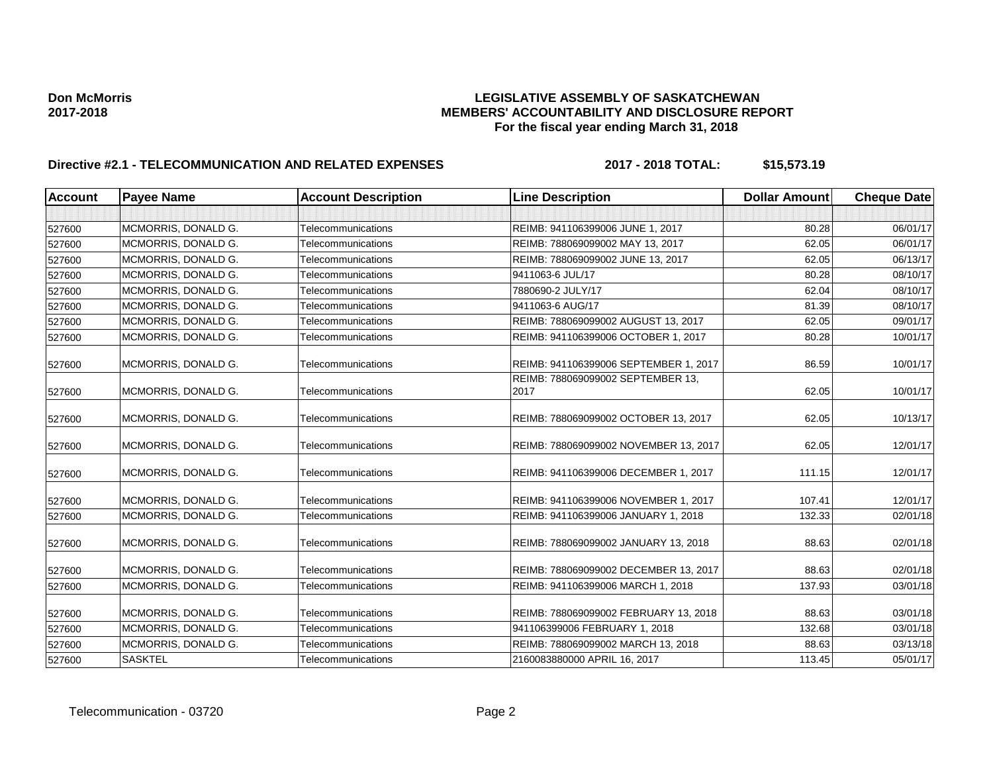| <b>Account</b> | <b>Payee Name</b>   | <b>Account Description</b> | <b>Line Description</b>               | <b>Dollar Amount</b> | <b>Cheque Date</b> |
|----------------|---------------------|----------------------------|---------------------------------------|----------------------|--------------------|
|                |                     |                            |                                       |                      |                    |
| 527600         | MCMORRIS, DONALD G. | Telecommunications         | REIMB: 941106399006 JUNE 1, 2017      | 80.28                | 06/01/17           |
| 527600         | MCMORRIS, DONALD G. | Telecommunications         | REIMB: 788069099002 MAY 13, 2017      | 62.05                | 06/01/17           |
| 527600         | MCMORRIS, DONALD G. | Telecommunications         | REIMB: 788069099002 JUNE 13, 2017     | 62.05                | 06/13/17           |
| 527600         | MCMORRIS, DONALD G. | Telecommunications         | 9411063-6 JUL/17                      | 80.28                | 08/10/17           |
| 527600         | MCMORRIS, DONALD G. | Telecommunications         | 7880690-2 JULY/17                     | 62.04                | 08/10/17           |
| 527600         | MCMORRIS, DONALD G. | Telecommunications         | 9411063-6 AUG/17                      | 81.39                | 08/10/17           |
| 527600         | MCMORRIS, DONALD G. | Telecommunications         | REIMB: 788069099002 AUGUST 13, 2017   | 62.05                | 09/01/17           |
| 527600         | MCMORRIS, DONALD G. | Telecommunications         | REIMB: 941106399006 OCTOBER 1, 2017   | 80.28                | 10/01/17           |
| 527600         | MCMORRIS, DONALD G. | Telecommunications         | REIMB: 941106399006 SEPTEMBER 1, 2017 | 86.59                | 10/01/17           |
|                |                     |                            | REIMB: 788069099002 SEPTEMBER 13,     |                      |                    |
| 527600         | MCMORRIS, DONALD G. | Telecommunications         | 2017                                  | 62.05                | 10/01/17           |
| 527600         | MCMORRIS, DONALD G. | Telecommunications         | REIMB: 788069099002 OCTOBER 13, 2017  | 62.05                | 10/13/17           |
| 527600         | MCMORRIS, DONALD G. | Telecommunications         | REIMB: 788069099002 NOVEMBER 13, 2017 | 62.05                | 12/01/17           |
| 527600         | MCMORRIS, DONALD G. | Telecommunications         | REIMB: 941106399006 DECEMBER 1, 2017  | 111.15               | 12/01/17           |
| 527600         | MCMORRIS, DONALD G. | Telecommunications         | REIMB: 941106399006 NOVEMBER 1, 2017  | 107.41               | 12/01/17           |
| 527600         | MCMORRIS, DONALD G. | Telecommunications         | REIMB: 941106399006 JANUARY 1, 2018   | 132.33               | 02/01/18           |
| 527600         | MCMORRIS, DONALD G. | Telecommunications         | REIMB: 788069099002 JANUARY 13, 2018  | 88.63                | 02/01/18           |
| 527600         | MCMORRIS, DONALD G. | Telecommunications         | REIMB: 788069099002 DECEMBER 13, 2017 | 88.63                | 02/01/18           |
| 527600         | MCMORRIS, DONALD G. | Telecommunications         | REIMB: 941106399006 MARCH 1, 2018     | 137.93               | 03/01/18           |
| 527600         | MCMORRIS, DONALD G. | Telecommunications         | REIMB: 788069099002 FEBRUARY 13, 2018 | 88.63                | 03/01/18           |
| 527600         | MCMORRIS, DONALD G. | Telecommunications         | 941106399006 FEBRUARY 1, 2018         | 132.68               | 03/01/18           |
| 527600         | MCMORRIS, DONALD G. | Telecommunications         | REIMB: 788069099002 MARCH 13, 2018    | 88.63                | 03/13/18           |
| 527600         | <b>SASKTEL</b>      | Telecommunications         | 2160083880000 APRIL 16, 2017          | 113.45               | 05/01/17           |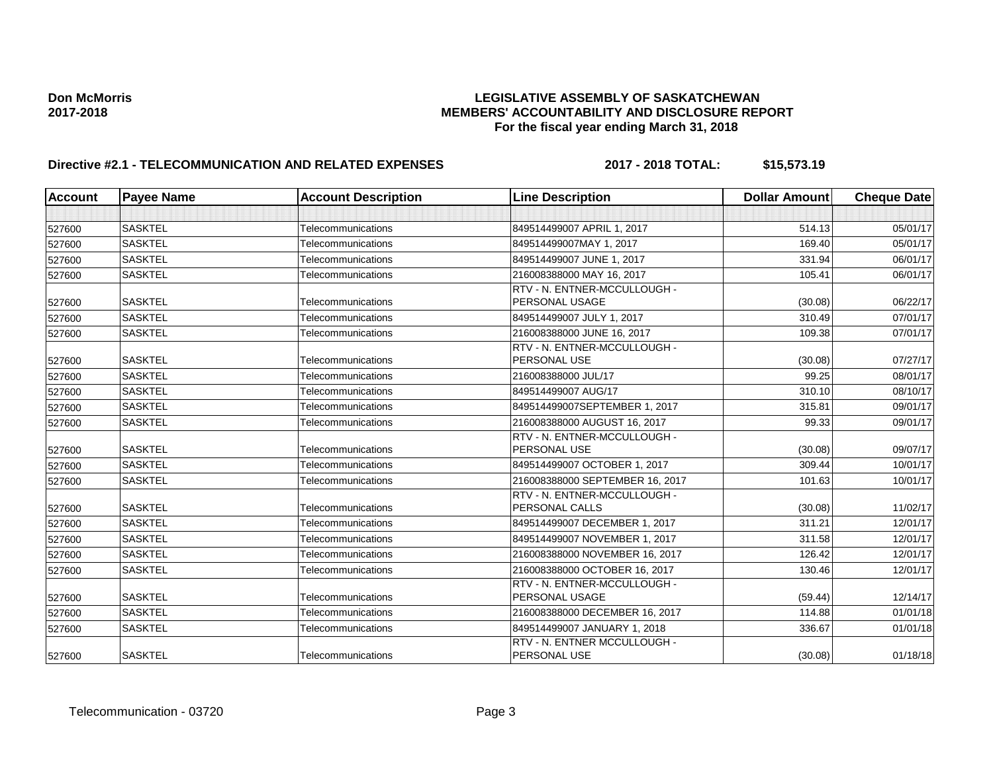| <b>Account</b> | <b>Payee Name</b> | <b>Account Description</b> | <b>Line Description</b>                               | <b>Dollar Amount</b> | <b>Cheque Date</b> |
|----------------|-------------------|----------------------------|-------------------------------------------------------|----------------------|--------------------|
|                |                   |                            |                                                       |                      |                    |
| 527600         | <b>SASKTEL</b>    | Telecommunications         | 849514499007 APRIL 1, 2017                            | 514.13               | 05/01/17           |
| 527600         | <b>SASKTEL</b>    | Telecommunications         | 849514499007MAY 1, 2017                               | 169.40               | 05/01/17           |
| 527600         | <b>SASKTEL</b>    | <b>Telecommunications</b>  | 849514499007 JUNE 1, 2017                             | 331.94               | 06/01/17           |
| 527600         | <b>SASKTEL</b>    | Telecommunications         | 216008388000 MAY 16, 2017                             | 105.41               | 06/01/17           |
| 527600         | <b>SASKTEL</b>    | <b>Telecommunications</b>  | RTV - N. ENTNER-MCCULLOUGH -<br>PERSONAL USAGE        | (30.08)              | 06/22/17           |
| 527600         | <b>SASKTEL</b>    | Telecommunications         | 849514499007 JULY 1, 2017                             | 310.49               | 07/01/17           |
| 527600         | <b>SASKTEL</b>    | <b>Telecommunications</b>  | 216008388000 JUNE 16, 2017                            | 109.38               | 07/01/17           |
| 527600         | <b>SASKTEL</b>    | Telecommunications         | RTV - N. ENTNER-MCCULLOUGH -<br>PERSONAL USE          | (30.08)              | 07/27/17           |
| 527600         | <b>SASKTEL</b>    | <b>Telecommunications</b>  | 216008388000 JUL/17                                   | 99.25                | 08/01/17           |
| 527600         | <b>SASKTEL</b>    | Telecommunications         | 849514499007 AUG/17                                   | 310.10               | 08/10/17           |
| 527600         | <b>SASKTEL</b>    | Telecommunications         | 849514499007SEPTEMBER 1, 2017                         | 315.81               | 09/01/17           |
| 527600         | <b>SASKTEL</b>    | <b>Telecommunications</b>  | 216008388000 AUGUST 16, 2017                          | 99.33                | 09/01/17           |
| 527600         | <b>SASKTEL</b>    | Telecommunications         | RTV - N. ENTNER-MCCULLOUGH -<br><b>PERSONAL USE</b>   | (30.08)              | 09/07/17           |
| 527600         | <b>SASKTEL</b>    | <b>Telecommunications</b>  | 849514499007 OCTOBER 1, 2017                          | 309.44               | 10/01/17           |
| 527600         | <b>SASKTEL</b>    | Telecommunications         | 216008388000 SEPTEMBER 16, 2017                       | 101.63               | 10/01/17           |
| 527600         | <b>SASKTEL</b>    | Telecommunications         | RTV - N. ENTNER-MCCULLOUGH -<br><b>PERSONAL CALLS</b> | (30.08)              | 11/02/17           |
| 527600         | <b>SASKTEL</b>    | Telecommunications         | 849514499007 DECEMBER 1, 2017                         | 311.21               | 12/01/17           |
| 527600         | <b>SASKTEL</b>    | Telecommunications         | 849514499007 NOVEMBER 1, 2017                         | 311.58               | 12/01/17           |
| 527600         | <b>SASKTEL</b>    | <b>Telecommunications</b>  | 216008388000 NOVEMBER 16, 2017                        | 126.42               | 12/01/17           |
| 527600         | <b>SASKTEL</b>    | Telecommunications         | 216008388000 OCTOBER 16, 2017                         | 130.46               | 12/01/17           |
| 527600         | <b>SASKTEL</b>    | Telecommunications         | RTV - N. ENTNER-MCCULLOUGH -<br>PERSONAL USAGE        | (59.44)              | 12/14/17           |
| 527600         | <b>SASKTEL</b>    | Telecommunications         | 216008388000 DECEMBER 16, 2017                        | 114.88               | 01/01/18           |
| 527600         | <b>SASKTEL</b>    | Telecommunications         | 849514499007 JANUARY 1, 2018                          | 336.67               | 01/01/18           |
| 527600         | <b>SASKTEL</b>    | Telecommunications         | RTV - N. ENTNER MCCULLOUGH -<br><b>PERSONAL USE</b>   | (30.08)              | 01/18/18           |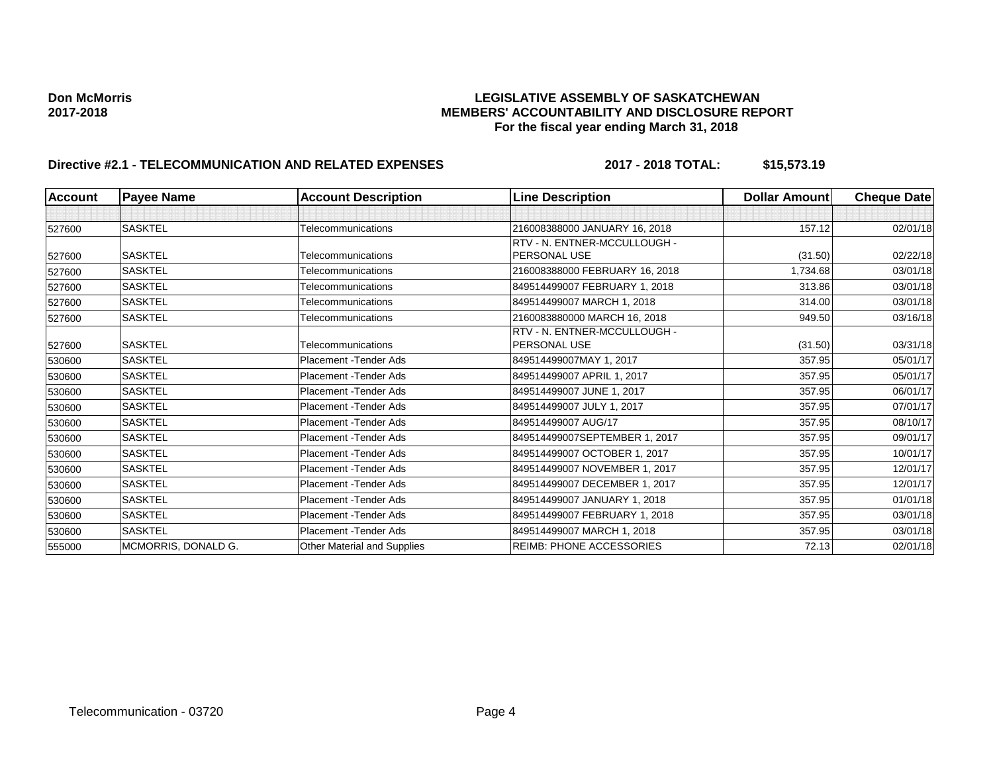| <b>Account</b> | <b>Payee Name</b>   | <b>Account Description</b>    | <b>Line Description</b>         | <b>Dollar Amount</b> | <b>Cheque Date</b> |
|----------------|---------------------|-------------------------------|---------------------------------|----------------------|--------------------|
|                |                     |                               |                                 |                      |                    |
| 527600         | <b>SASKTEL</b>      | Telecommunications            | 216008388000 JANUARY 16, 2018   | 157.12               | 02/01/18           |
|                |                     |                               | RTV - N. ENTNER-MCCULLOUGH -    |                      |                    |
| 527600         | <b>SASKTEL</b>      | Telecommunications            | PERSONAL USE                    | (31.50)              | 02/22/18           |
| 527600         | <b>SASKTEL</b>      | Telecommunications            | 216008388000 FEBRUARY 16, 2018  | 1,734.68             | 03/01/18           |
| 527600         | <b>SASKTEL</b>      | Telecommunications            | 849514499007 FEBRUARY 1, 2018   | 313.86               | 03/01/18           |
| 527600         | <b>SASKTEL</b>      | Telecommunications            | 849514499007 MARCH 1, 2018      | 314.00               | 03/01/18           |
| 527600         | <b>SASKTEL</b>      | Telecommunications            | 2160083880000 MARCH 16, 2018    | 949.50               | 03/16/18           |
|                |                     |                               | RTV - N. ENTNER-MCCULLOUGH -    |                      |                    |
| 527600         | <b>SASKTEL</b>      | Telecommunications            | PERSONAL USE                    | (31.50)              | 03/31/18           |
| 530600         | <b>SASKTEL</b>      | <b>Placement - Tender Ads</b> | 849514499007MAY 1, 2017         | 357.95               | 05/01/17           |
| 530600         | <b>SASKTEL</b>      | Placement - Tender Ads        | 849514499007 APRIL 1, 2017      | 357.95               | 05/01/17           |
| 530600         | <b>SASKTEL</b>      | Placement - Tender Ads        | 849514499007 JUNE 1, 2017       | 357.95               | 06/01/17           |
| 530600         | SASKTEL             | Placement - Tender Ads        | 849514499007 JULY 1, 2017       | 357.95               | 07/01/17           |
| 530600         | <b>SASKTEL</b>      | Placement - Tender Ads        | 849514499007 AUG/17             | 357.95               | 08/10/17           |
| 530600         | <b>SASKTEL</b>      | Placement - Tender Ads        | 849514499007SEPTEMBER 1, 2017   | 357.95               | 09/01/17           |
| 530600         | <b>SASKTEL</b>      | Placement - Tender Ads        | 849514499007 OCTOBER 1, 2017    | 357.95               | 10/01/17           |
| 530600         | <b>SASKTEL</b>      | Placement - Tender Ads        | 849514499007 NOVEMBER 1, 2017   | 357.95               | 12/01/17           |
| 530600         | <b>SASKTEL</b>      | Placement - Tender Ads        | 849514499007 DECEMBER 1, 2017   | 357.95               | 12/01/17           |
| 530600         | <b>SASKTEL</b>      | Placement - Tender Ads        | 849514499007 JANUARY 1, 2018    | 357.95               | 01/01/18           |
| 530600         | <b>SASKTEL</b>      | Placement - Tender Ads        | 849514499007 FEBRUARY 1, 2018   | 357.95               | 03/01/18           |
| 530600         | <b>SASKTEL</b>      | Placement - Tender Ads        | 849514499007 MARCH 1, 2018      | 357.95               | 03/01/18           |
| 555000         | MCMORRIS, DONALD G. | Other Material and Supplies   | <b>REIMB: PHONE ACCESSORIES</b> | 72.13                | 02/01/18           |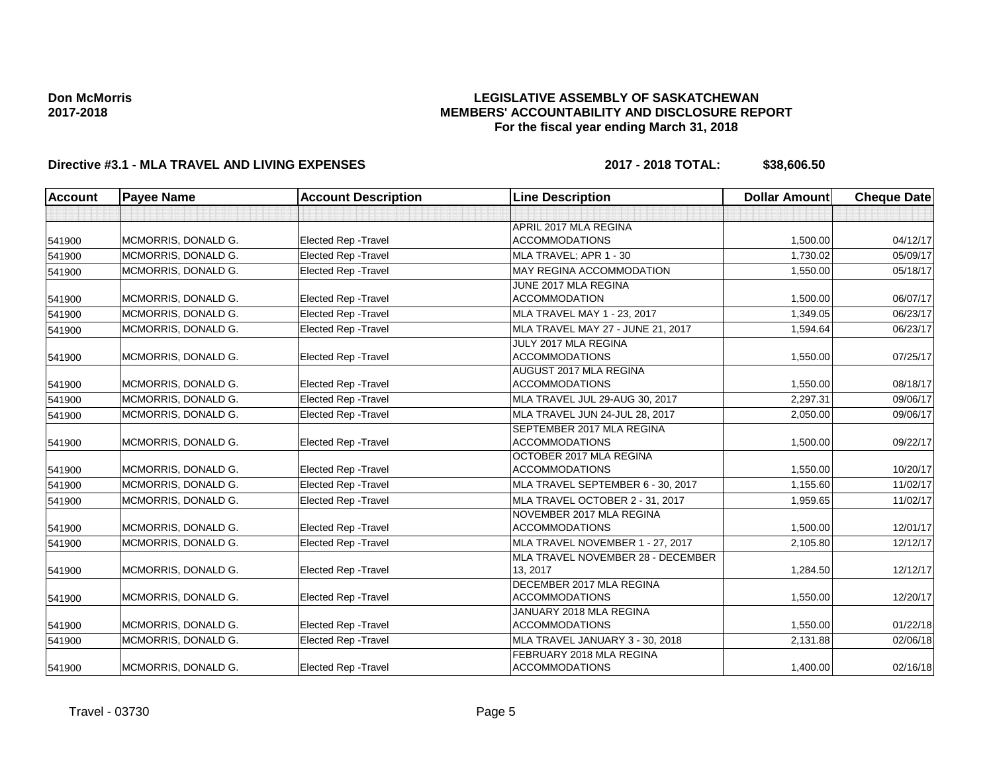### **LEGISLATIVE ASSEMBLY OF SASKATCHEWAN MEMBERS' ACCOUNTABILITY AND DISCLOSURE REPORT For the fiscal year ending March 31, 2018**

# **Directive #3.1 - MLA TRAVEL AND LIVING EXPENSES 2017 - 2018 TOTAL: \$38,606.50**

| <b>Account</b> | <b>Payee Name</b>   | <b>Account Description</b>  | <b>Line Description</b>                           | <b>Dollar Amount</b> | <b>Cheque Date</b> |
|----------------|---------------------|-----------------------------|---------------------------------------------------|----------------------|--------------------|
|                |                     |                             |                                                   |                      |                    |
|                |                     |                             | APRIL 2017 MLA REGINA                             |                      |                    |
| 541900         | MCMORRIS, DONALD G. | Elected Rep - Travel        | <b>ACCOMMODATIONS</b>                             | 1,500.00             | 04/12/17           |
| 541900         | MCMORRIS, DONALD G. | <b>Elected Rep - Travel</b> | MLA TRAVEL; APR 1 - 30                            | 1.730.02             | 05/09/17           |
| 541900         | MCMORRIS, DONALD G. | <b>Elected Rep - Travel</b> | MAY REGINA ACCOMMODATION                          | 1,550.00             | 05/18/17           |
|                |                     |                             | JUNE 2017 MLA REGINA                              |                      |                    |
| 541900         | MCMORRIS, DONALD G. | Elected Rep - Travel        | <b>ACCOMMODATION</b>                              | 1,500.00             | 06/07/17           |
| 541900         | MCMORRIS, DONALD G. | <b>Elected Rep - Travel</b> | MLA TRAVEL MAY 1 - 23, 2017                       | 1,349.05             | 06/23/17           |
| 541900         | MCMORRIS, DONALD G. | <b>Elected Rep - Travel</b> | MLA TRAVEL MAY 27 - JUNE 21, 2017                 | 1,594.64             | 06/23/17           |
|                |                     |                             | JULY 2017 MLA REGINA                              |                      |                    |
| 541900         | MCMORRIS, DONALD G. | Elected Rep - Travel        | <b>ACCOMMODATIONS</b>                             | 1,550.00             | 07/25/17           |
|                |                     |                             | AUGUST 2017 MLA REGINA                            |                      |                    |
| 541900         | MCMORRIS, DONALD G. | <b>Elected Rep - Travel</b> | <b>ACCOMMODATIONS</b>                             | 1.550.00             | 08/18/17           |
| 541900         | MCMORRIS, DONALD G. | <b>Elected Rep - Travel</b> | MLA TRAVEL JUL 29-AUG 30, 2017                    | 2,297.31             | 09/06/17           |
| 541900         | MCMORRIS, DONALD G. | Elected Rep - Travel        | MLA TRAVEL JUN 24-JUL 28, 2017                    | 2,050.00             | 09/06/17           |
|                |                     |                             | SEPTEMBER 2017 MLA REGINA                         |                      |                    |
| 541900         | MCMORRIS, DONALD G. | <b>Elected Rep - Travel</b> | <b>ACCOMMODATIONS</b>                             | 1,500.00             | 09/22/17           |
|                |                     |                             | OCTOBER 2017 MLA REGINA                           |                      |                    |
| 541900         | MCMORRIS, DONALD G. | <b>Elected Rep - Travel</b> | <b>ACCOMMODATIONS</b>                             | 1,550.00             | 10/20/17           |
| 541900         | MCMORRIS, DONALD G. | <b>Elected Rep - Travel</b> | MLA TRAVEL SEPTEMBER 6 - 30, 2017                 | 1,155.60             | 11/02/17           |
| 541900         | MCMORRIS, DONALD G. | <b>Elected Rep - Travel</b> | MLA TRAVEL OCTOBER 2 - 31, 2017                   | 1,959.65             | 11/02/17           |
|                |                     |                             | NOVEMBER 2017 MLA REGINA                          |                      |                    |
| 541900         | MCMORRIS, DONALD G. | <b>Elected Rep - Travel</b> | <b>ACCOMMODATIONS</b>                             | 1,500.00             | 12/01/17           |
| 541900         | MCMORRIS, DONALD G. | <b>Elected Rep - Travel</b> | MLA TRAVEL NOVEMBER 1 - 27, 2017                  | 2,105.80             | 12/12/17           |
|                |                     |                             | MLA TRAVEL NOVEMBER 28 - DECEMBER                 |                      |                    |
| 541900         | MCMORRIS, DONALD G. | Elected Rep - Travel        | 13, 2017                                          | 1,284.50             | 12/12/17           |
|                |                     |                             | DECEMBER 2017 MLA REGINA                          |                      |                    |
| 541900         | MCMORRIS, DONALD G. | <b>Elected Rep - Travel</b> | <b>ACCOMMODATIONS</b>                             | 1.550.00             | 12/20/17           |
|                | MCMORRIS, DONALD G. | <b>Elected Rep - Travel</b> | JANUARY 2018 MLA REGINA<br><b>ACCOMMODATIONS</b>  | 1,550.00             | 01/22/18           |
| 541900         |                     |                             |                                                   |                      |                    |
| 541900         | MCMORRIS, DONALD G. | <b>Elected Rep - Travel</b> | MLA TRAVEL JANUARY 3 - 30, 2018                   | 2.131.88             | 02/06/18           |
| 541900         | MCMORRIS, DONALD G. | Elected Rep - Travel        | FEBRUARY 2018 MLA REGINA<br><b>ACCOMMODATIONS</b> | 1,400.00             | 02/16/18           |
|                |                     |                             |                                                   |                      |                    |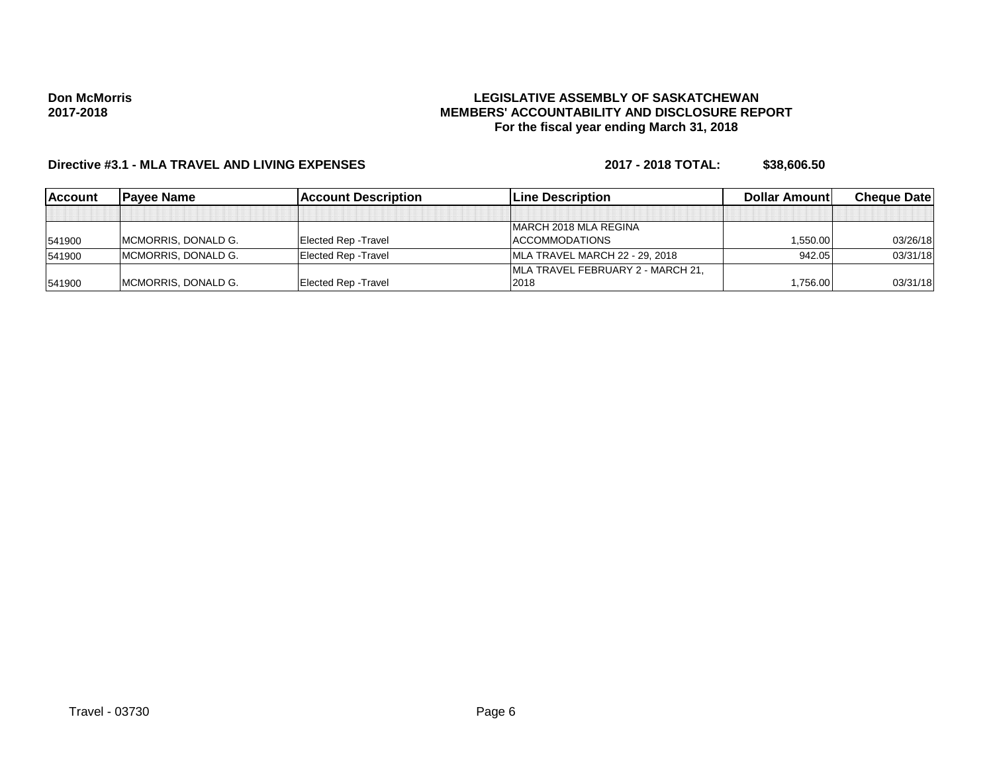### **LEGISLATIVE ASSEMBLY OF SASKATCHEWAN MEMBERS' ACCOUNTABILITY AND DISCLOSURE REPORT For the fiscal year ending March 31, 2018**

# **Directive #3.1 - MLA TRAVEL AND LIVING EXPENSES 2017 - 2018 TOTAL: \$38,606.50**

| lAccount | <b>IPavee Name</b>  | <b>Account Description</b>  | <b>Line Description</b>           | Dollar Amount | <b>Cheque Datel</b> |
|----------|---------------------|-----------------------------|-----------------------------------|---------------|---------------------|
|          |                     |                             |                                   |               |                     |
|          |                     |                             | <b>IMARCH 2018 MLA REGINA</b>     |               |                     |
| 541900   | MCMORRIS, DONALD G. | <b>Elected Rep - Travel</b> | <b>ACCOMMODATIONS</b>             | 1.550.00      | 03/26/18            |
| 541900   | MCMORRIS, DONALD G. | <b>Elected Rep - Travel</b> | MLA TRAVEL MARCH 22 - 29, 2018    | 942.05        | 03/31/18            |
|          |                     |                             | MLA TRAVEL FEBRUARY 2 - MARCH 21, |               |                     |
| 541900   | MCMORRIS, DONALD G. | Elected Rep - Travel        | 2018                              | 756.00. 1     | 03/31/18            |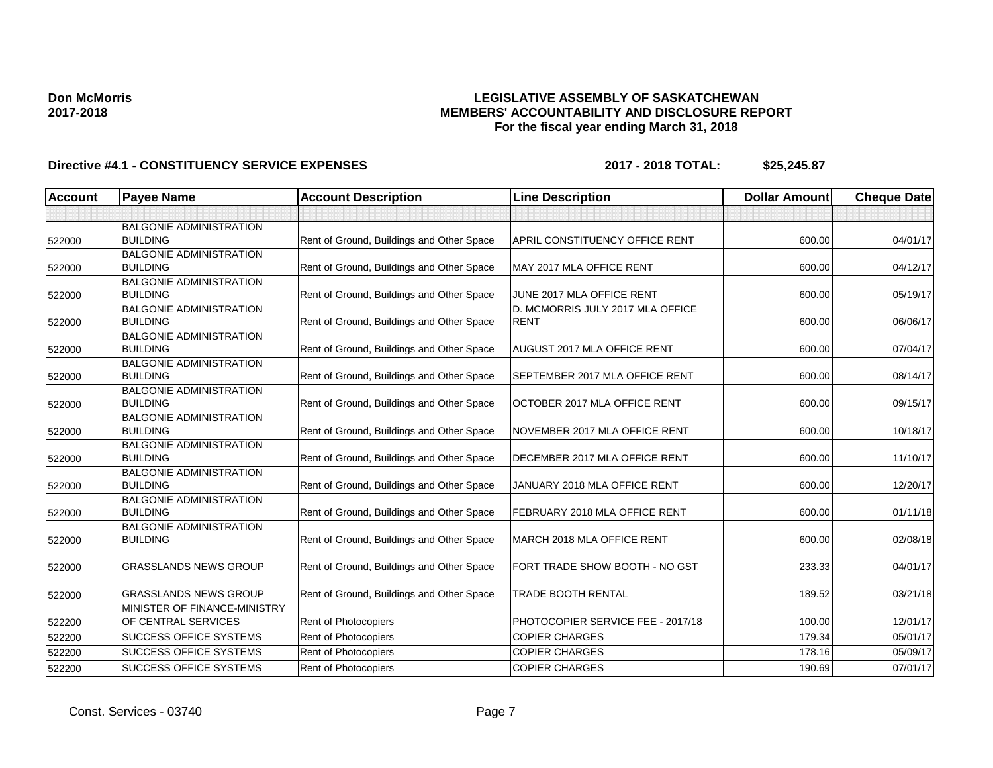### **LEGISLATIVE ASSEMBLY OF SASKATCHEWAN MEMBERS' ACCOUNTABILITY AND DISCLOSURE REPORT For the fiscal year ending March 31, 2018**

| <b>Account</b> | <b>Payee Name</b>              | <b>Account Description</b>                | <b>Line Description</b>            | <b>Dollar Amount</b> | <b>Cheque Date</b> |
|----------------|--------------------------------|-------------------------------------------|------------------------------------|----------------------|--------------------|
|                |                                |                                           |                                    |                      |                    |
|                | <b>BALGONIE ADMINISTRATION</b> |                                           |                                    |                      |                    |
| 522000         | <b>BUILDING</b>                | Rent of Ground, Buildings and Other Space | APRIL CONSTITUENCY OFFICE RENT     | 600.00               | 04/01/17           |
|                | <b>BALGONIE ADMINISTRATION</b> |                                           |                                    |                      |                    |
| 522000         | <b>BUILDING</b>                | Rent of Ground, Buildings and Other Space | <b>IMAY 2017 MLA OFFICE RENT</b>   | 600.00               | 04/12/17           |
|                | <b>BALGONIE ADMINISTRATION</b> |                                           |                                    |                      |                    |
| 522000         | <b>BUILDING</b>                | Rent of Ground, Buildings and Other Space | JUNE 2017 MLA OFFICE RENT          | 600.00               | 05/19/17           |
|                | <b>BALGONIE ADMINISTRATION</b> |                                           | D. MCMORRIS JULY 2017 MLA OFFICE   |                      |                    |
| 522000         | <b>BUILDING</b>                | Rent of Ground, Buildings and Other Space | <b>RENT</b>                        | 600.00               | 06/06/17           |
|                | <b>BALGONIE ADMINISTRATION</b> |                                           |                                    |                      |                    |
| 522000         | <b>BUILDING</b>                | Rent of Ground, Buildings and Other Space | <b>AUGUST 2017 MLA OFFICE RENT</b> | 600.00               | 07/04/17           |
|                | <b>BALGONIE ADMINISTRATION</b> |                                           |                                    |                      |                    |
| 522000         | <b>BUILDING</b>                | Rent of Ground, Buildings and Other Space | SEPTEMBER 2017 MLA OFFICE RENT     | 600.00               | 08/14/17           |
|                | <b>BALGONIE ADMINISTRATION</b> |                                           |                                    |                      |                    |
| 522000         | <b>BUILDING</b>                | Rent of Ground, Buildings and Other Space | OCTOBER 2017 MLA OFFICE RENT       | 600.00               | 09/15/17           |
|                | <b>BALGONIE ADMINISTRATION</b> |                                           |                                    |                      |                    |
| 522000         | <b>BUILDING</b>                | Rent of Ground, Buildings and Other Space | NOVEMBER 2017 MLA OFFICE RENT      | 600.00               | 10/18/17           |
|                | <b>BALGONIE ADMINISTRATION</b> |                                           |                                    |                      |                    |
| 522000         | <b>BUILDING</b>                | Rent of Ground, Buildings and Other Space | DECEMBER 2017 MLA OFFICE RENT      | 600.00               | 11/10/17           |
|                | <b>BALGONIE ADMINISTRATION</b> |                                           |                                    |                      |                    |
| 522000         | <b>BUILDING</b>                | Rent of Ground, Buildings and Other Space | JANUARY 2018 MLA OFFICE RENT       | 600.00               | 12/20/17           |
|                | <b>BALGONIE ADMINISTRATION</b> |                                           |                                    |                      |                    |
| 522000         | <b>BUILDING</b>                | Rent of Ground, Buildings and Other Space | FEBRUARY 2018 MLA OFFICE RENT      | 600.00               | 01/11/18           |
|                | <b>BALGONIE ADMINISTRATION</b> |                                           |                                    |                      |                    |
| 522000         | <b>BUILDING</b>                | Rent of Ground, Buildings and Other Space | MARCH 2018 MLA OFFICE RENT         | 600.00               | 02/08/18           |
|                |                                |                                           |                                    |                      |                    |
| 522000         | <b>GRASSLANDS NEWS GROUP</b>   | Rent of Ground, Buildings and Other Space | FORT TRADE SHOW BOOTH - NO GST     | 233.33               | 04/01/17           |
|                | <b>GRASSLANDS NEWS GROUP</b>   | Rent of Ground, Buildings and Other Space | TRADE BOOTH RENTAL                 | 189.52               | 03/21/18           |
| 522000         | MINISTER OF FINANCE-MINISTRY   |                                           |                                    |                      |                    |
|                | OF CENTRAL SERVICES            | Rent of Photocopiers                      | PHOTOCOPIER SERVICE FEE - 2017/18  | 100.00               | 12/01/17           |
| 522200         |                                |                                           |                                    |                      |                    |
| 522200         | <b>SUCCESS OFFICE SYSTEMS</b>  | Rent of Photocopiers                      | <b>COPIER CHARGES</b>              | 179.34               | 05/01/17           |
| 522200         | <b>SUCCESS OFFICE SYSTEMS</b>  | <b>Rent of Photocopiers</b>               | <b>COPIER CHARGES</b>              | 178.16               | 05/09/17           |
| 522200         | <b>SUCCESS OFFICE SYSTEMS</b>  | Rent of Photocopiers                      | <b>COPIER CHARGES</b>              | 190.69               | 07/01/17           |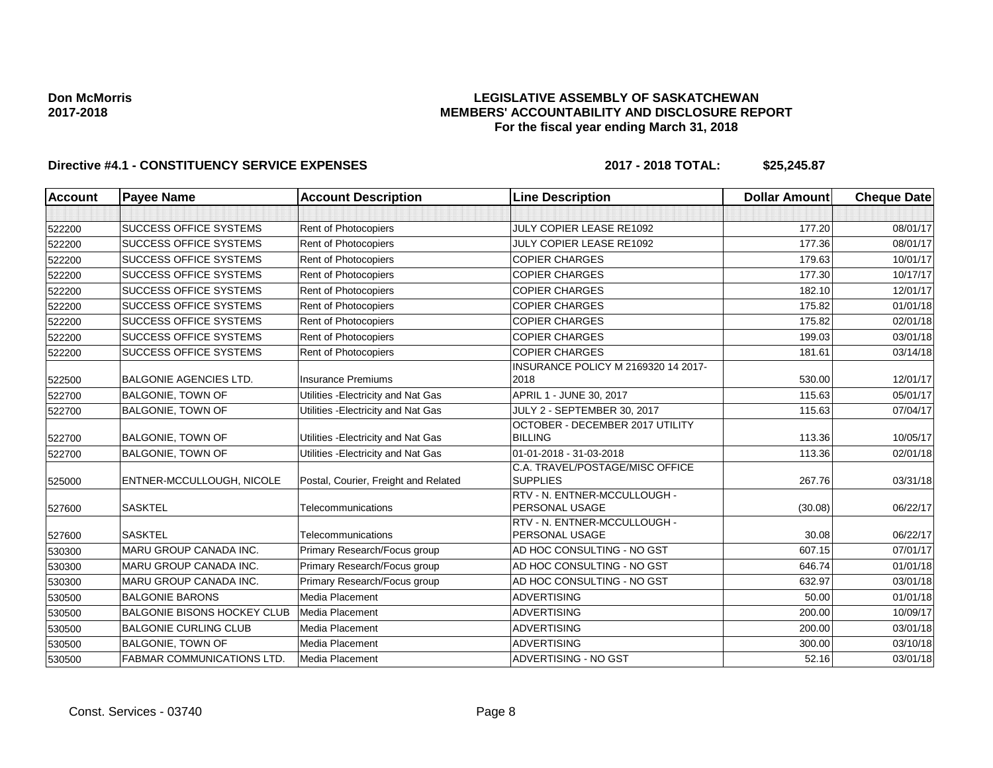### **LEGISLATIVE ASSEMBLY OF SASKATCHEWAN MEMBERS' ACCOUNTABILITY AND DISCLOSURE REPORT For the fiscal year ending March 31, 2018**

| <b>Account</b> | <b>Payee Name</b>                  | <b>Account Description</b>           | <b>Line Description</b>                            | <b>Dollar Amount</b> | <b>Cheque Date</b> |
|----------------|------------------------------------|--------------------------------------|----------------------------------------------------|----------------------|--------------------|
|                |                                    |                                      |                                                    |                      |                    |
| 522200         | <b>SUCCESS OFFICE SYSTEMS</b>      | Rent of Photocopiers                 | JULY COPIER LEASE RE1092                           | 177.20               | 08/01/17           |
| 522200         | <b>SUCCESS OFFICE SYSTEMS</b>      | <b>Rent of Photocopiers</b>          | JULY COPIER LEASE RE1092                           | 177.36               | 08/01/17           |
| 522200         | <b>SUCCESS OFFICE SYSTEMS</b>      | Rent of Photocopiers                 | <b>COPIER CHARGES</b>                              | 179.63               | 10/01/17           |
| 522200         | <b>SUCCESS OFFICE SYSTEMS</b>      | Rent of Photocopiers                 | <b>COPIER CHARGES</b>                              | 177.30               | 10/17/17           |
| 522200         | <b>SUCCESS OFFICE SYSTEMS</b>      | Rent of Photocopiers                 | <b>COPIER CHARGES</b>                              | 182.10               | 12/01/17           |
| 522200         | <b>SUCCESS OFFICE SYSTEMS</b>      | Rent of Photocopiers                 | <b>COPIER CHARGES</b>                              | 175.82               | 01/01/18           |
| 522200         | <b>SUCCESS OFFICE SYSTEMS</b>      | Rent of Photocopiers                 | <b>COPIER CHARGES</b>                              | 175.82               | 02/01/18           |
| 522200         | <b>SUCCESS OFFICE SYSTEMS</b>      | Rent of Photocopiers                 | <b>COPIER CHARGES</b>                              | 199.03               | 03/01/18           |
| 522200         | <b>SUCCESS OFFICE SYSTEMS</b>      | Rent of Photocopiers                 | <b>COPIER CHARGES</b>                              | 181.61               | 03/14/18           |
| 522500         | <b>BALGONIE AGENCIES LTD.</b>      | <b>Insurance Premiums</b>            | INSURANCE POLICY M 2169320 14 2017-<br>2018        | 530.00               | 12/01/17           |
| 522700         | <b>BALGONIE, TOWN OF</b>           | Utilities - Electricity and Nat Gas  | APRIL 1 - JUNE 30, 2017                            | 115.63               | 05/01/17           |
| 522700         | <b>BALGONIE, TOWN OF</b>           | Utilities - Electricity and Nat Gas  | <b>JULY 2 - SEPTEMBER 30, 2017</b>                 | 115.63               | 07/04/17           |
|                |                                    |                                      | OCTOBER - DECEMBER 2017 UTILITY                    |                      |                    |
| 522700         | <b>BALGONIE, TOWN OF</b>           | Utilities - Electricity and Nat Gas  | <b>BILLING</b>                                     | 113.36               | 10/05/17           |
| 522700         | <b>BALGONIE, TOWN OF</b>           | Utilities - Electricity and Nat Gas  | 01-01-2018 - 31-03-2018                            | 113.36               | 02/01/18           |
| 525000         | ENTNER-MCCULLOUGH, NICOLE          | Postal, Courier, Freight and Related | C.A. TRAVEL/POSTAGE/MISC OFFICE<br><b>SUPPLIES</b> | 267.76               | 03/31/18           |
| 527600         | <b>SASKTEL</b>                     | Telecommunications                   | RTV - N. ENTNER-MCCULLOUGH -<br>PERSONAL USAGE     | (30.08)              | 06/22/17           |
| 527600         | <b>SASKTEL</b>                     | Telecommunications                   | RTV - N. ENTNER-MCCULLOUGH -<br>PERSONAL USAGE     | 30.08                | 06/22/17           |
| 530300         | <b>MARU GROUP CANADA INC.</b>      | Primary Research/Focus group         | AD HOC CONSULTING - NO GST                         | 607.15               | 07/01/17           |
| 530300         | MARU GROUP CANADA INC.             | Primary Research/Focus group         | AD HOC CONSULTING - NO GST                         | 646.74               | 01/01/18           |
| 530300         | MARU GROUP CANADA INC.             | Primary Research/Focus group         | AD HOC CONSULTING - NO GST                         | 632.97               | 03/01/18           |
| 530500         | <b>BALGONIE BARONS</b>             | Media Placement                      | <b>ADVERTISING</b>                                 | 50.00                | 01/01/18           |
| 530500         | <b>BALGONIE BISONS HOCKEY CLUB</b> | Media Placement                      | <b>ADVERTISING</b>                                 | 200.00               | 10/09/17           |
| 530500         | <b>BALGONIE CURLING CLUB</b>       | Media Placement                      | <b>ADVERTISING</b>                                 | 200.00               | 03/01/18           |
| 530500         | <b>BALGONIE, TOWN OF</b>           | Media Placement                      | <b>ADVERTISING</b>                                 | 300.00               | 03/10/18           |
| 530500         | <b>FABMAR COMMUNICATIONS LTD.</b>  | Media Placement                      | ADVERTISING - NO GST                               | 52.16                | 03/01/18           |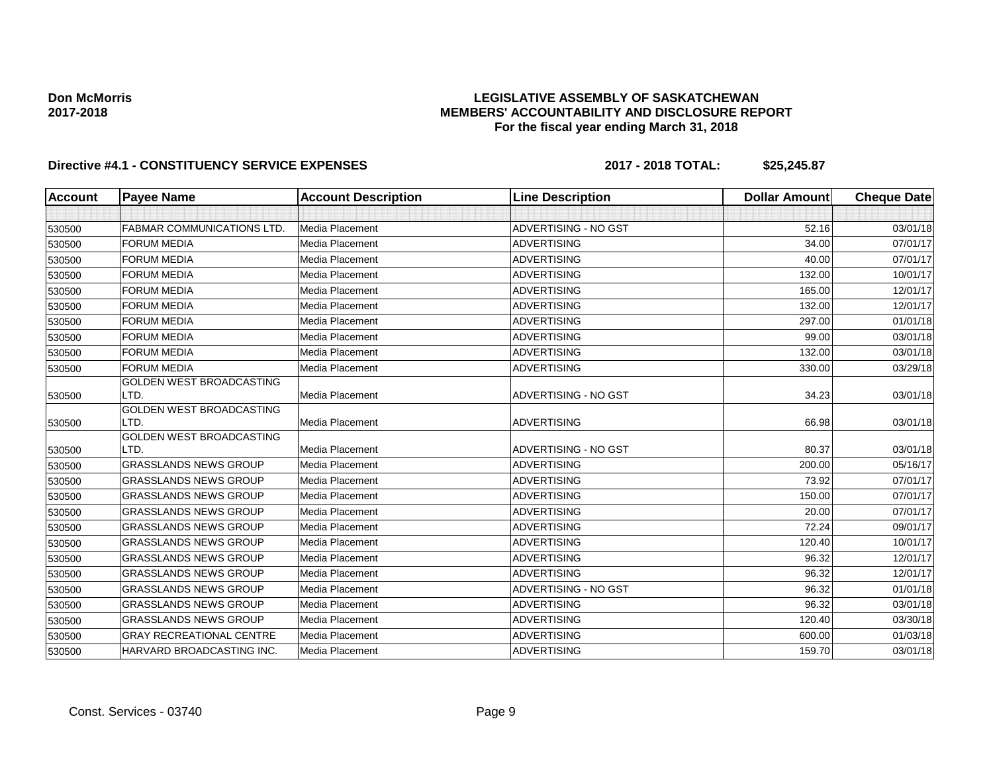### **LEGISLATIVE ASSEMBLY OF SASKATCHEWAN MEMBERS' ACCOUNTABILITY AND DISCLOSURE REPORT For the fiscal year ending March 31, 2018**

| <b>Account</b> | <b>Payee Name</b>                       | <b>Account Description</b> | <b>Line Description</b> | <b>Dollar Amount</b> | <b>Cheque Date</b> |
|----------------|-----------------------------------------|----------------------------|-------------------------|----------------------|--------------------|
|                |                                         |                            |                         |                      |                    |
| 530500         | <b>FABMAR COMMUNICATIONS LTD.</b>       | Media Placement            | ADVERTISING - NO GST    | 52.16                | 03/01/18           |
| 530500         | <b>FORUM MEDIA</b>                      | Media Placement            | <b>ADVERTISING</b>      | 34.00                | 07/01/17           |
| 530500         | <b>FORUM MEDIA</b>                      | Media Placement            | <b>ADVERTISING</b>      | 40.00                | 07/01/17           |
| 530500         | <b>FORUM MEDIA</b>                      | <b>Media Placement</b>     | <b>ADVERTISING</b>      | 132.00               | 10/01/17           |
| 530500         | <b>FORUM MEDIA</b>                      | Media Placement            | <b>ADVERTISING</b>      | 165.00               | 12/01/17           |
| 530500         | <b>FORUM MEDIA</b>                      | Media Placement            | <b>ADVERTISING</b>      | 132.00               | 12/01/17           |
| 530500         | <b>FORUM MEDIA</b>                      | Media Placement            | ADVERTISING             | 297.00               | 01/01/18           |
| 530500         | <b>FORUM MEDIA</b>                      | Media Placement            | <b>ADVERTISING</b>      | 99.00                | 03/01/18           |
| 530500         | <b>FORUM MEDIA</b>                      | Media Placement            | <b>ADVERTISING</b>      | 132.00               | 03/01/18           |
| 530500         | <b>FORUM MEDIA</b>                      | Media Placement            | <b>ADVERTISING</b>      | 330.00               | 03/29/18           |
|                | GOLDEN WEST BROADCASTING                |                            |                         |                      |                    |
| 530500         | LTD.                                    | Media Placement            | ADVERTISING - NO GST    | 34.23                | 03/01/18           |
|                | <b>GOLDEN WEST BROADCASTING</b>         |                            |                         |                      |                    |
| 530500         | LTD.                                    | Media Placement            | <b>ADVERTISING</b>      | 66.98                | 03/01/18           |
| 530500         | <b>GOLDEN WEST BROADCASTING</b><br>LTD. | Media Placement            | ADVERTISING - NO GST    | 80.37                | 03/01/18           |
| 530500         | <b>GRASSLANDS NEWS GROUP</b>            | Media Placement            | <b>ADVERTISING</b>      | 200.00               | 05/16/17           |
| 530500         | <b>GRASSLANDS NEWS GROUP</b>            | <b>Media Placement</b>     | <b>ADVERTISING</b>      | 73.92                | 07/01/17           |
| 530500         | <b>GRASSLANDS NEWS GROUP</b>            | Media Placement            | <b>ADVERTISING</b>      | 150.00               | 07/01/17           |
| 530500         | <b>GRASSLANDS NEWS GROUP</b>            | Media Placement            | <b>ADVERTISING</b>      | 20.00                | 07/01/17           |
| 530500         | <b>GRASSLANDS NEWS GROUP</b>            | Media Placement            | <b>ADVERTISING</b>      | 72.24                | 09/01/17           |
| 530500         | <b>GRASSLANDS NEWS GROUP</b>            | Media Placement            | <b>ADVERTISING</b>      | 120.40               | 10/01/17           |
| 530500         | <b>GRASSLANDS NEWS GROUP</b>            | Media Placement            | ADVERTISING             | 96.32                | 12/01/17           |
|                | <b>GRASSLANDS NEWS GROUP</b>            | Media Placement            | <b>ADVERTISING</b>      | 96.32                | 12/01/17           |
| 530500         | <b>GRASSLANDS NEWS GROUP</b>            | <b>Media Placement</b>     | ADVERTISING - NO GST    | 96.32                | 01/01/18           |
| 530500         | <b>GRASSLANDS NEWS GROUP</b>            | Media Placement            | <b>ADVERTISING</b>      | 96.32                | 03/01/18           |
| 530500         | <b>GRASSLANDS NEWS GROUP</b>            | Media Placement            | <b>ADVERTISING</b>      | 120.40               | 03/30/18           |
| 530500         | <b>GRAY RECREATIONAL CENTRE</b>         |                            |                         |                      |                    |
| 530500         |                                         | Media Placement            | <b>ADVERTISING</b>      | 600.00               | 01/03/18           |
| 530500         | HARVARD BROADCASTING INC.               | Media Placement            | <b>ADVERTISING</b>      | 159.70               | 03/01/18           |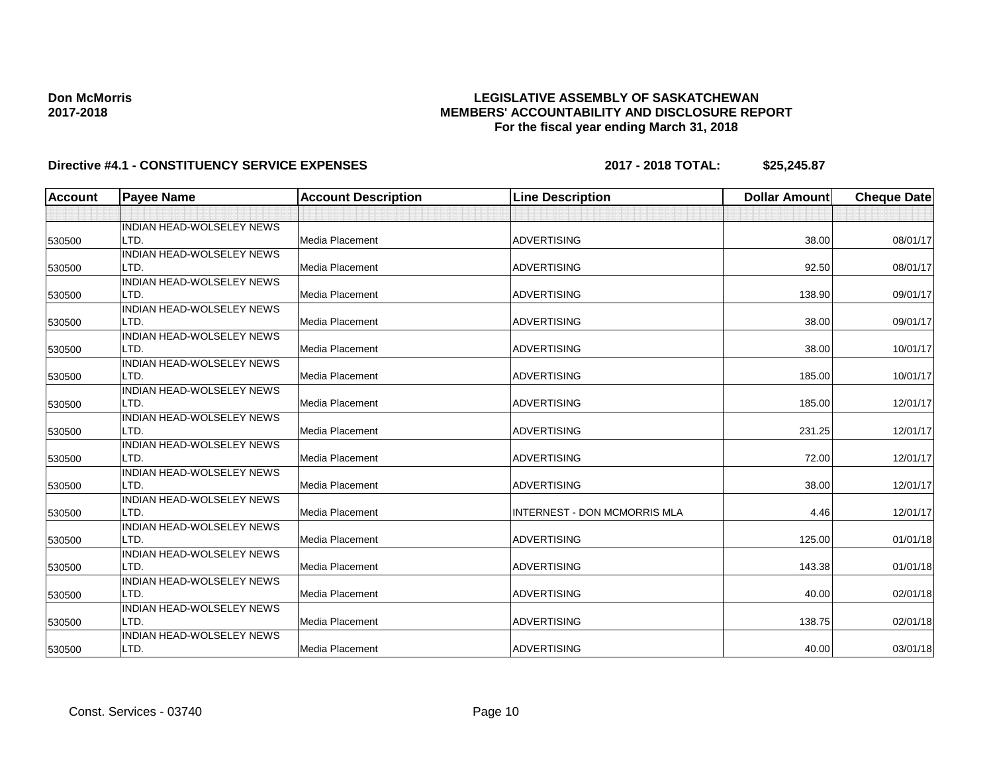### **LEGISLATIVE ASSEMBLY OF SASKATCHEWAN MEMBERS' ACCOUNTABILITY AND DISCLOSURE REPORT For the fiscal year ending March 31, 2018**

| <b>Account</b> | <b>Payee Name</b>                | <b>Account Description</b> | <b>Line Description</b>             | <b>Dollar Amount</b> | <b>Cheque Date</b> |
|----------------|----------------------------------|----------------------------|-------------------------------------|----------------------|--------------------|
|                |                                  |                            |                                     |                      |                    |
|                | <b>INDIAN HEAD-WOLSELEY NEWS</b> |                            |                                     |                      |                    |
| 530500         | LTD.                             | Media Placement            | <b>ADVERTISING</b>                  | 38.00                | 08/01/17           |
|                | INDIAN HEAD-WOLSELEY NEWS        |                            |                                     |                      |                    |
| 530500         | LTD.                             | <b>Media Placement</b>     | <b>ADVERTISING</b>                  | 92.50                | 08/01/17           |
|                | <b>INDIAN HEAD-WOLSELEY NEWS</b> |                            |                                     |                      |                    |
| 530500         | LTD.                             | Media Placement            | <b>ADVERTISING</b>                  | 138.90               | 09/01/17           |
|                | INDIAN HEAD-WOLSELEY NEWS        |                            |                                     |                      |                    |
| 530500         | LTD.                             | Media Placement            | <b>ADVERTISING</b>                  | 38.00                | 09/01/17           |
|                | <b>INDIAN HEAD-WOLSELEY NEWS</b> |                            |                                     |                      |                    |
| 530500         | LTD.                             | Media Placement            | <b>ADVERTISING</b>                  | 38.00                | 10/01/17           |
|                | <b>INDIAN HEAD-WOLSELEY NEWS</b> |                            |                                     |                      |                    |
| 530500         | LTD.                             | Media Placement            | <b>ADVERTISING</b>                  | 185.00               | 10/01/17           |
|                | <b>INDIAN HEAD-WOLSELEY NEWS</b> |                            |                                     |                      |                    |
| 530500         | LTD.                             | Media Placement            | <b>ADVERTISING</b>                  | 185.00               | 12/01/17           |
|                | INDIAN HEAD-WOLSELEY NEWS        |                            |                                     |                      |                    |
| 530500         | LTD.                             | Media Placement            | <b>ADVERTISING</b>                  | 231.25               | 12/01/17           |
|                | INDIAN HEAD-WOLSELEY NEWS        |                            |                                     |                      |                    |
| 530500         | LTD.                             | Media Placement            | <b>ADVERTISING</b>                  | 72.00                | 12/01/17           |
|                | <b>INDIAN HEAD-WOLSELEY NEWS</b> |                            |                                     |                      |                    |
| 530500         | LTD.                             | <b>Media Placement</b>     | <b>ADVERTISING</b>                  | 38.00                | 12/01/17           |
|                | <b>INDIAN HEAD-WOLSELEY NEWS</b> |                            |                                     |                      |                    |
| 530500         | LTD.                             | Media Placement            | <b>INTERNEST - DON MCMORRIS MLA</b> | 4.46                 | 12/01/17           |
|                | <b>INDIAN HEAD-WOLSELEY NEWS</b> |                            |                                     |                      |                    |
| 530500         | LTD.                             | Media Placement            | <b>ADVERTISING</b>                  | 125.00               | 01/01/18           |
|                | <b>INDIAN HEAD-WOLSELEY NEWS</b> |                            |                                     |                      |                    |
| 530500         | LTD.                             | Media Placement            | <b>ADVERTISING</b>                  | 143.38               | 01/01/18           |
|                | INDIAN HEAD-WOLSELEY NEWS        |                            |                                     |                      |                    |
| 530500         | LTD.                             | <b>Media Placement</b>     | <b>ADVERTISING</b>                  | 40.00                | 02/01/18           |
|                | <b>INDIAN HEAD-WOLSELEY NEWS</b> |                            |                                     |                      |                    |
| 530500         | LTD.                             | Media Placement            | <b>ADVERTISING</b>                  | 138.75               | 02/01/18           |
|                | <b>INDIAN HEAD-WOLSELEY NEWS</b> |                            |                                     |                      |                    |
| 530500         | LTD.                             | Media Placement            | <b>ADVERTISING</b>                  | 40.00                | 03/01/18           |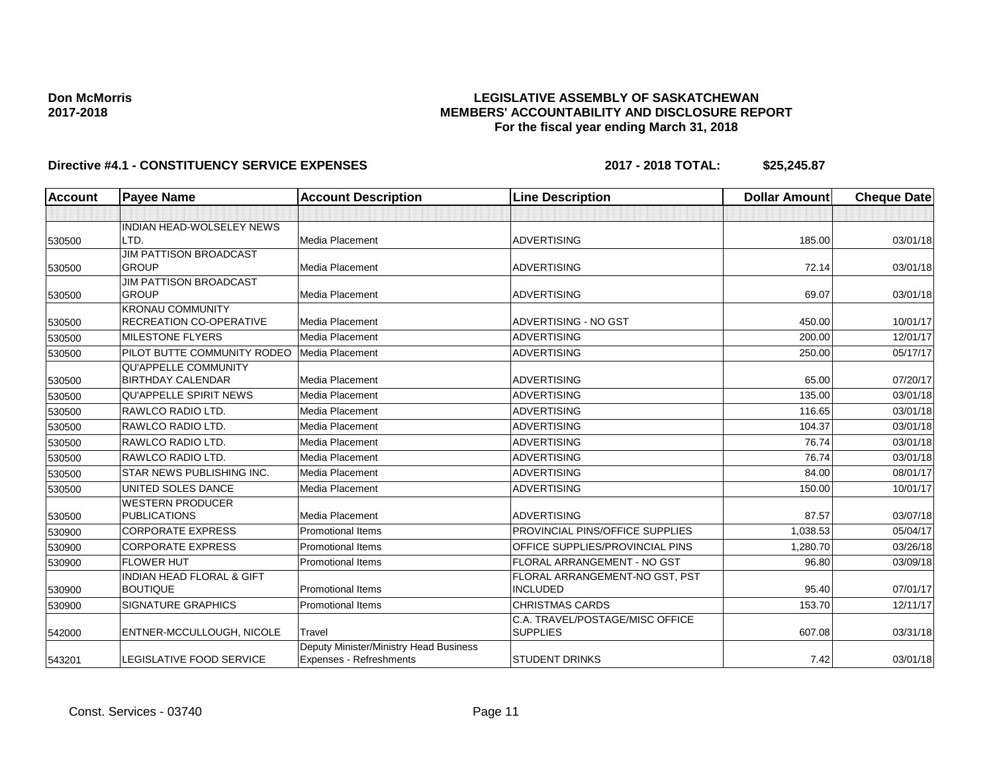### **LEGISLATIVE ASSEMBLY OF SASKATCHEWAN MEMBERS' ACCOUNTABILITY AND DISCLOSURE REPORT For the fiscal year ending March 31, 2018**

| <b>Account</b> | <b>Payee Name</b>                                         | <b>Account Description</b>                                        | <b>Line Description</b>         | <b>Dollar Amount</b> | <b>Cheque Date</b> |
|----------------|-----------------------------------------------------------|-------------------------------------------------------------------|---------------------------------|----------------------|--------------------|
|                |                                                           |                                                                   |                                 |                      |                    |
|                | <b>INDIAN HEAD-WOLSELEY NEWS</b>                          |                                                                   |                                 |                      |                    |
| 530500         | LTD.                                                      | Media Placement                                                   | <b>ADVERTISING</b>              | 185.00               | 03/01/18           |
|                | <b>JIM PATTISON BROADCAST</b>                             |                                                                   |                                 |                      |                    |
| 530500         | <b>GROUP</b>                                              | <b>Media Placement</b>                                            | <b>ADVERTISING</b>              | 72.14                | 03/01/18           |
|                | <b>JIM PATTISON BROADCAST</b>                             |                                                                   |                                 |                      |                    |
| 530500         | <b>GROUP</b>                                              | <b>Media Placement</b>                                            | <b>ADVERTISING</b>              | 69.07                | 03/01/18           |
| 530500         | <b>KRONAU COMMUNITY</b><br><b>RECREATION CO-OPERATIVE</b> | Media Placement                                                   | ADVERTISING - NO GST            | 450.00               | 10/01/17           |
|                | <b>MILESTONE FLYERS</b>                                   | Media Placement                                                   | <b>ADVERTISING</b>              | 200.00               | 12/01/17           |
| 530500         | PILOT BUTTE COMMUNITY RODEO                               | Media Placement                                                   | <b>ADVERTISING</b>              | 250.00               | 05/17/17           |
| 530500         | <b>QU'APPELLE COMMUNITY</b>                               |                                                                   |                                 |                      |                    |
| 530500         | <b>BIRTHDAY CALENDAR</b>                                  | Media Placement                                                   | <b>ADVERTISING</b>              | 65.00                | 07/20/17           |
| 530500         | <b>QU'APPELLE SPIRIT NEWS</b>                             | Media Placement                                                   | <b>ADVERTISING</b>              | 135.00               | 03/01/18           |
| 530500         | RAWLCO RADIO LTD.                                         | Media Placement                                                   | <b>ADVERTISING</b>              | 116.65               | 03/01/18           |
| 530500         | RAWLCO RADIO LTD.                                         | Media Placement                                                   | <b>ADVERTISING</b>              | 104.37               | 03/01/18           |
| 530500         | RAWLCO RADIO LTD.                                         | Media Placement                                                   | <b>ADVERTISING</b>              | 76.74                | 03/01/18           |
| 530500         | <b>RAWLCO RADIO LTD.</b>                                  | <b>Media Placement</b>                                            | <b>ADVERTISING</b>              | 76.74                | 03/01/18           |
| 530500         | <b>STAR NEWS PUBLISHING INC.</b>                          | Media Placement                                                   | <b>ADVERTISING</b>              | 84.00                | 08/01/17           |
| 530500         | UNITED SOLES DANCE                                        | <b>Media Placement</b>                                            | <b>ADVERTISING</b>              | 150.00               | 10/01/17           |
|                | <b>WESTERN PRODUCER</b>                                   |                                                                   |                                 |                      |                    |
| 530500         | <b>PUBLICATIONS</b>                                       | <b>Media Placement</b>                                            | <b>ADVERTISING</b>              | 87.57                | 03/07/18           |
| 530900         | <b>CORPORATE EXPRESS</b>                                  | <b>Promotional Items</b>                                          | PROVINCIAL PINS/OFFICE SUPPLIES | 1,038.53             | 05/04/17           |
| 530900         | <b>CORPORATE EXPRESS</b>                                  | <b>Promotional Items</b>                                          | OFFICE SUPPLIES/PROVINCIAL PINS | 1,280.70             | 03/26/18           |
| 530900         | <b>FLOWER HUT</b>                                         | <b>Promotional Items</b>                                          | FLORAL ARRANGEMENT - NO GST     | 96.80                | 03/09/18           |
|                | <b>INDIAN HEAD FLORAL &amp; GIFT</b>                      |                                                                   | FLORAL ARRANGEMENT-NO GST, PST  |                      |                    |
| 530900         | <b>BOUTIQUE</b>                                           | Promotional Items                                                 | <b>INCLUDED</b>                 | 95.40                | 07/01/17           |
| 530900         | <b>SIGNATURE GRAPHICS</b>                                 | <b>Promotional Items</b>                                          | <b>CHRISTMAS CARDS</b>          | 153.70               | 12/11/17           |
|                |                                                           |                                                                   | C.A. TRAVEL/POSTAGE/MISC OFFICE |                      |                    |
| 542000         | ENTNER-MCCULLOUGH, NICOLE                                 | Travel                                                            | <b>SUPPLIES</b>                 | 607.08               | 03/31/18           |
| 543201         | LEGISLATIVE FOOD SERVICE                                  | Deputy Minister/Ministry Head Business<br>Expenses - Refreshments | <b>STUDENT DRINKS</b>           | 7.42                 | 03/01/18           |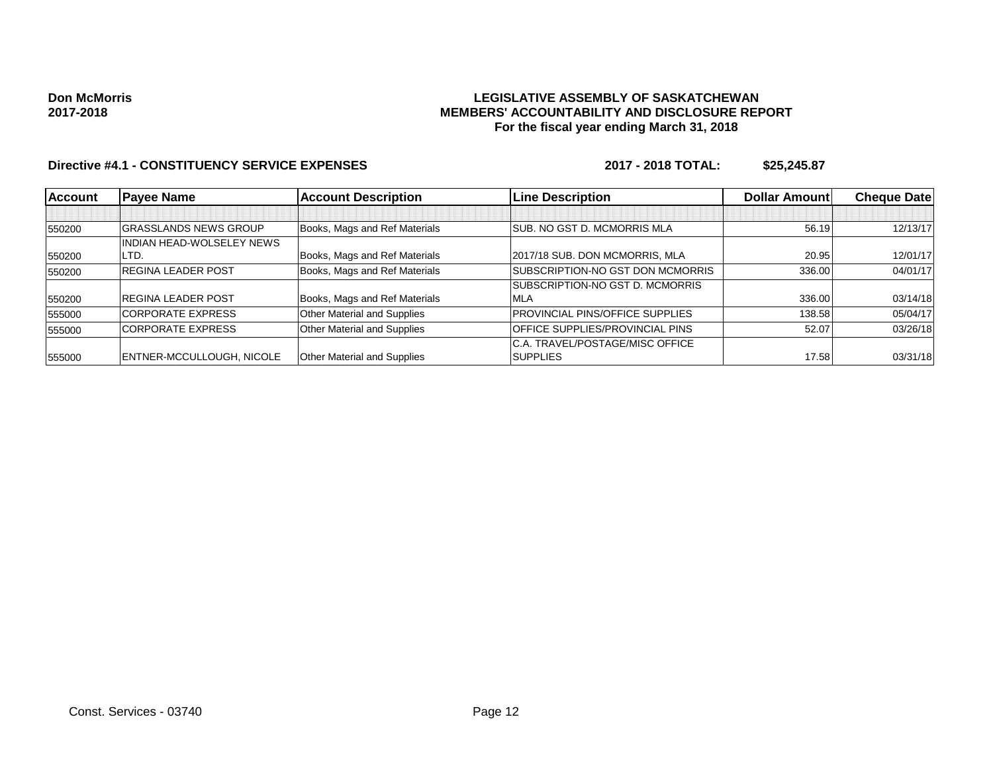### **LEGISLATIVE ASSEMBLY OF SASKATCHEWAN MEMBERS' ACCOUNTABILITY AND DISCLOSURE REPORT For the fiscal year ending March 31, 2018**

| <b>Account</b> | <b>Payee Name</b>                | <b>Account Description</b>    | <b>Line Description</b>                | <b>Dollar Amountl</b> | <b>Cheque Date</b> |
|----------------|----------------------------------|-------------------------------|----------------------------------------|-----------------------|--------------------|
|                |                                  |                               |                                        |                       |                    |
| 550200         | <b>GRASSLANDS NEWS GROUP</b>     | Books, Mags and Ref Materials | <b>SUB. NO GST D. MCMORRIS MLA</b>     | 56.19                 | 12/13/17           |
|                | INDIAN HEAD-WOLSELEY NEWS        |                               |                                        |                       |                    |
| 550200         | ILTD.                            | Books, Mags and Ref Materials | 2017/18 SUB. DON MCMORRIS, MLA         | 20.95                 | 12/01/17           |
| 550200         | <b>REGINA LEADER POST</b>        | Books, Mags and Ref Materials | SUBSCRIPTION-NO GST DON MCMORRIS       | 336.00                | 04/01/17           |
|                |                                  |                               | SUBSCRIPTION-NO GST D. MCMORRIS        |                       |                    |
| 550200         | <b>IREGINA LEADER POST</b>       | Books, Mags and Ref Materials | <b>MLA</b>                             | 336.00                | 03/14/18           |
| 555000         | <b>CORPORATE EXPRESS</b>         | Other Material and Supplies   | <b>PROVINCIAL PINS/OFFICE SUPPLIES</b> | 138.58                | 05/04/17           |
| 555000         | <b>CORPORATE EXPRESS</b>         | Other Material and Supplies   | <b>OFFICE SUPPLIES/PROVINCIAL PINS</b> | 52.07                 | 03/26/18           |
|                |                                  |                               | C.A. TRAVEL/POSTAGE/MISC OFFICE        |                       |                    |
| 555000         | <b>ENTNER-MCCULLOUGH, NICOLE</b> | Other Material and Supplies   | <b>SUPPLIES</b>                        | 17.58                 | 03/31/18           |